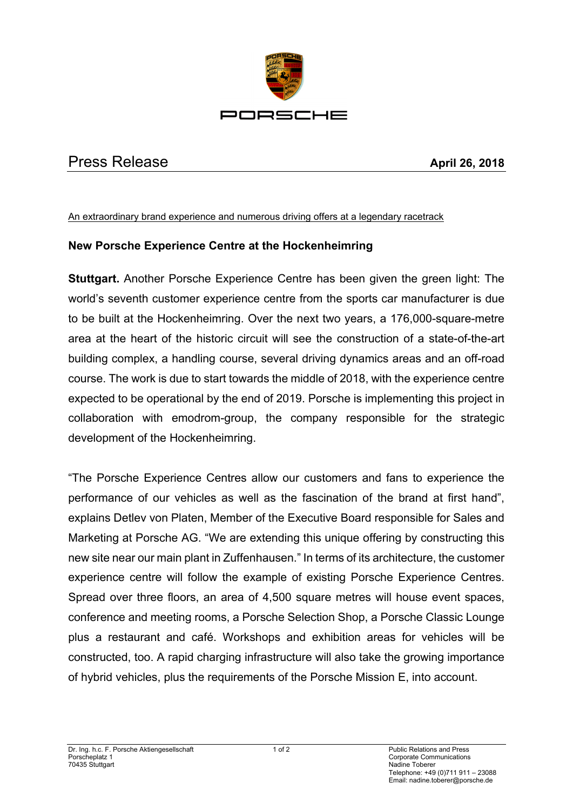

## Press Release **April 26, 2018**

## An extraordinary brand experience and numerous driving offers at a legendary racetrack

## **New Porsche Experience Centre at the Hockenheimring**

**Stuttgart.** Another Porsche Experience Centre has been given the green light: The world's seventh customer experience centre from the sports car manufacturer is due to be built at the Hockenheimring. Over the next two years, a 176,000-square-metre area at the heart of the historic circuit will see the construction of a state-of-the-art building complex, a handling course, several driving dynamics areas and an off-road course. The work is due to start towards the middle of 2018, with the experience centre expected to be operational by the end of 2019. Porsche is implementing this project in collaboration with emodrom-group, the company responsible for the strategic development of the Hockenheimring.

"The Porsche Experience Centres allow our customers and fans to experience the performance of our vehicles as well as the fascination of the brand at first hand", explains Detlev von Platen, Member of the Executive Board responsible for Sales and Marketing at Porsche AG. "We are extending this unique offering by constructing this new site near our main plant in Zuffenhausen." In terms of its architecture, the customer experience centre will follow the example of existing Porsche Experience Centres. Spread over three floors, an area of 4,500 square metres will house event spaces, conference and meeting rooms, a Porsche Selection Shop, a Porsche Classic Lounge plus a restaurant and café. Workshops and exhibition areas for vehicles will be constructed, too. A rapid charging infrastructure will also take the growing importance of hybrid vehicles, plus the requirements of the Porsche Mission E, into account.